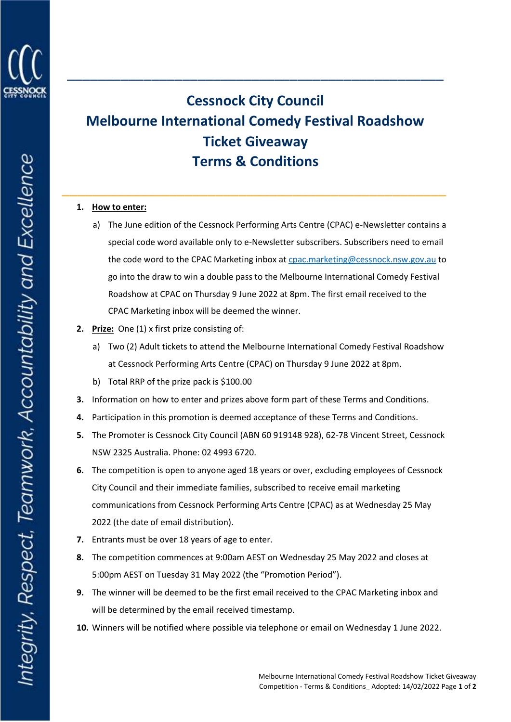

## **Cessnock City Council Melbourne International Comedy Festival Roadshow Ticket Giveaway Terms & Conditions**

\_\_\_\_\_\_\_\_\_\_\_\_\_\_\_\_\_\_\_\_\_\_\_\_\_\_\_\_\_\_\_\_\_\_\_\_\_\_\_\_\_\_\_\_\_\_\_\_\_\_

\_\_\_\_\_\_\_\_\_\_\_\_\_\_\_\_\_\_\_\_\_\_\_\_\_\_\_\_\_\_\_\_\_\_\_\_\_\_\_\_\_\_\_\_\_\_\_\_\_

## **1. How to enter:**

- a) The June edition of the Cessnock Performing Arts Centre (CPAC) e-Newsletter contains a special code word available only to e-Newsletter subscribers. Subscribers need to email the code word to the CPAC Marketing inbox at [cpac.marketing@cessnock.nsw.gov.au](mailto:cpac.marketing@cessnock.nsw.gov.au) to go into the draw to win a double pass to the Melbourne International Comedy Festival Roadshow at CPAC on Thursday 9 June 2022 at 8pm. The first email received to the CPAC Marketing inbox will be deemed the winner.
- **2. Prize:** One (1) x first prize consisting of:
	- a) Two (2) Adult tickets to attend the Melbourne International Comedy Festival Roadshow at Cessnock Performing Arts Centre (CPAC) on Thursday 9 June 2022 at 8pm.
	- b) Total RRP of the prize pack is \$100.00
- **3.** Information on how to enter and prizes above form part of these Terms and Conditions.
- **4.** Participation in this promotion is deemed acceptance of these Terms and Conditions.
- **5.** The Promoter is Cessnock City Council (ABN 60 919148 928), 62-78 Vincent Street, Cessnock NSW 2325 Australia. Phone: 02 4993 6720.
- **6.** The competition is open to anyone aged 18 years or over, excluding employees of Cessnock City Council and their immediate families, subscribed to receive email marketing communications from Cessnock Performing Arts Centre (CPAC) as at Wednesday 25 May 2022 (the date of email distribution).
- **7.** Entrants must be over 18 years of age to enter.
- **8.** The competition commences at 9:00am AEST on Wednesday 25 May 2022 and closes at 5:00pm AEST on Tuesday 31 May 2022 (the "Promotion Period").
- **9.** The winner will be deemed to be the first email received to the CPAC Marketing inbox and will be determined by the email received timestamp.
- **10.** Winners will be notified where possible via telephone or email on Wednesday 1 June 2022.